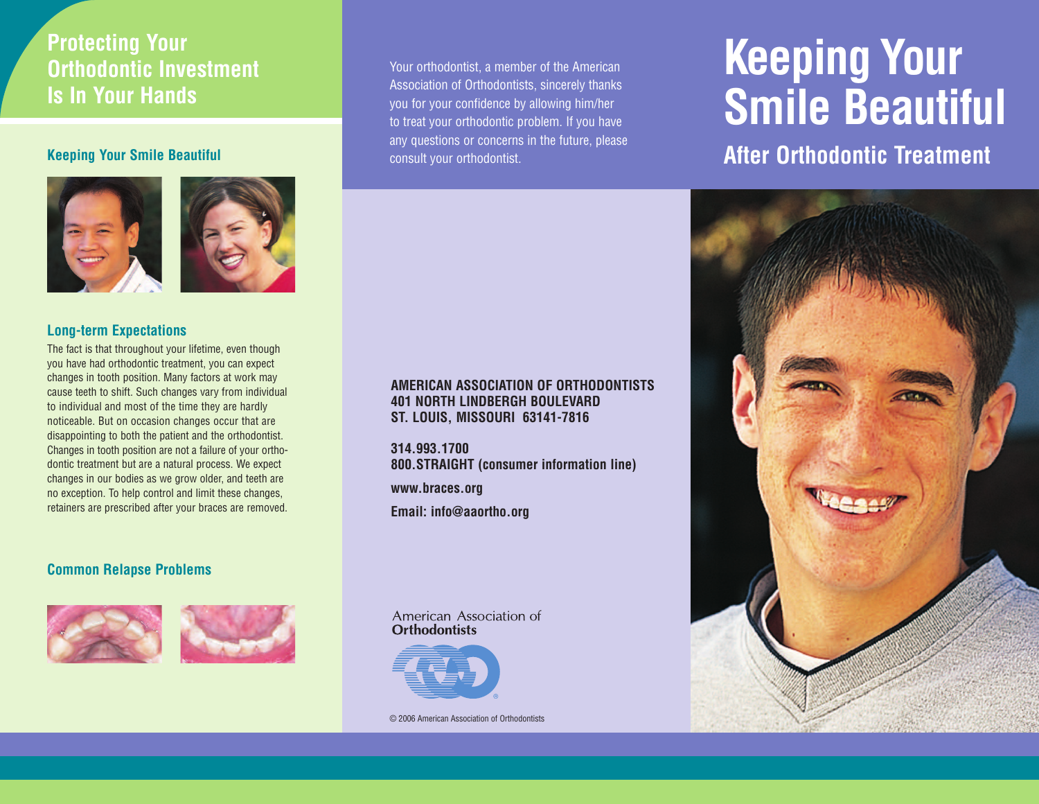## **Protecting Your Orthodontic Investment Is In Your Hands**

## **Keeping Your Smile Beautiful**



#### **Long-term Expectations**

The fact is that throughout your lifetime, even though you have had orthodontic treatment, you can expect changes in tooth position. Many factors at work may cause teeth to shift. Such changes vary from individual to individual and most of the time they are hardly noticeable. But on occasion changes occur that are disappointing to both the patient and the orthodontist. Changes in tooth position are not a failure of your orthodontic treatment but are a natural process. We expect changes in our bodies as we grow older, and teeth are no exception. To help control and limit these changes, retainers are prescribed after your braces are removed.

## **Common Relapse Problems**



Your orthodontist, a member of the American Association of Orthodontists, sincerely thanks you for your confidence by allowing him/her to treat your orthodontic problem. If you have any questions or concerns in the future, please consult your orthodontist.

#### **AMERICAN ASSOCIATION OF ORTHODONTISTS 401 NORTH LINDBERGH BOULEVARD ST. LOUIS, MISSOURI 63141-7816**

**314.993.1700 800.STRAIGHT (consumer information line)**

**www.braces.org**

**Email: info@aaortho.org**

#### American Association of **Orthodontists**



© 2006 American Association of Orthodontists

# **Keeping Your Smile Beautiful**

## **After Orthodontic Treatment**